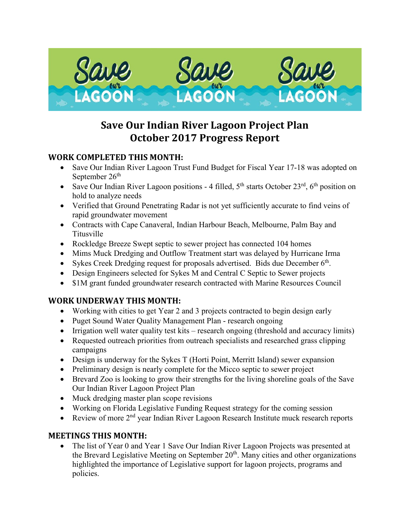

# **Save Our Indian River Lagoon Project Plan October 2017 Progress Report**

### **WORK COMPLETED THIS MONTH:**

- Save Our Indian River Lagoon Trust Fund Budget for Fiscal Year 17-18 was adopted on September  $26<sup>th</sup>$
- Save Our Indian River Lagoon positions 4 filled,  $5<sup>th</sup>$  starts October 23<sup>rd</sup>,  $6<sup>th</sup>$  position on hold to analyze needs
- Verified that Ground Penetrating Radar is not yet sufficiently accurate to find veins of rapid groundwater movement
- Contracts with Cape Canaveral, Indian Harbour Beach, Melbourne, Palm Bay and Titusville
- Rockledge Breeze Swept septic to sewer project has connected 104 homes
- Mims Muck Dredging and Outflow Treatment start was delayed by Hurricane Irma
- Sykes Creek Dredging request for proposals advertised. Bids due December  $6<sup>th</sup>$ .
- Design Engineers selected for Sykes M and Central C Septic to Sewer projects
- \$1M grant funded groundwater research contracted with Marine Resources Council

# **WORK UNDERWAY THIS MONTH:**

- Working with cities to get Year 2 and 3 projects contracted to begin design early
- Puget Sound Water Quality Management Plan research ongoing
- Irrigation well water quality test kits research ongoing (threshold and accuracy limits)
- Requested outreach priorities from outreach specialists and researched grass clipping campaigns
- Design is underway for the Sykes T (Horti Point, Merritt Island) sewer expansion
- Preliminary design is nearly complete for the Micco septic to sewer project
- Brevard Zoo is looking to grow their strengths for the living shoreline goals of the Save Our Indian River Lagoon Project Plan
- Muck dredging master plan scope revisions
- Working on Florida Legislative Funding Request strategy for the coming session
- Review of more  $2<sup>nd</sup>$  year Indian River Lagoon Research Institute muck research reports

#### **MEETINGS THIS MONTH:**

• The list of Year 0 and Year 1 Save Our Indian River Lagoon Projects was presented at the Brevard Legislative Meeting on September  $20<sup>th</sup>$ . Many cities and other organizations highlighted the importance of Legislative support for lagoon projects, programs and policies.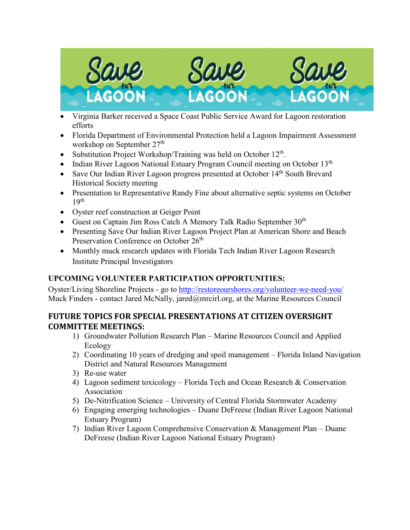

- Virginia Barker received a Space Coast Public Service Award for Lagoon restoration efforts
- Florida Department of Environmental Protection held a Lagoon Impairment Assessment workshop on September 27<sup>th</sup>
- Substitution Project Workshop/Training was held on October 12<sup>th</sup>.
- Indian River Lagoon National Estuary Program Council meeting on October  $13<sup>th</sup>$
- Save Our Indian River Lagoon progress presented at October  $14<sup>th</sup>$  South Brevard Historical Society meeting
- Presentation to Representative Randy Fine about alternative septic systems on October 19th
- Oyster reef construction at Geiger Point
- Guest on Captain Jim Ross Catch A Memory Talk Radio September  $30<sup>th</sup>$
- Presenting Save Our Indian River Lagoon Project Plan at American Shore and Beach Preservation Conference on October 26<sup>th</sup>
- Monthly muck research updates with Florida Tech Indian River Lagoon Research Institute Principal Investigators

#### **UPCOMING VOLUNTEER PARTICIPATION OPPORTUNITIES:**

Oyster/Living Shoreline Projects - go to<http://restoreourshores.org/volunteer-we-need-you/> Muck Finders - contact Jared McNally, jared@mrcirl.org, at the Marine Resources Council

#### **FUTURE TOPICS FOR SPECIAL PRESENTATIONS AT CITIZEN OVERSIGHT COMMITTEE MEETINGS:**

- 1) Groundwater Pollution Research Plan Marine Resources Council and Applied Ecology
- 2) Coordinating 10 years of dredging and spoil management Florida Inland Navigation District and Natural Resources Management
- 3) Re-use water
- 4) Lagoon sediment toxicology Florida Tech and Ocean Research & Conservation Association
- 5) De-Nitrification Science University of Central Florida Stormwater Academy
- 6) Engaging emerging technologies Duane DeFreese (Indian River Lagoon National Estuary Program)
- 7) Indian River Lagoon Comprehensive Conservation & Management Plan Duane DeFreese (Indian River Lagoon National Estuary Program)